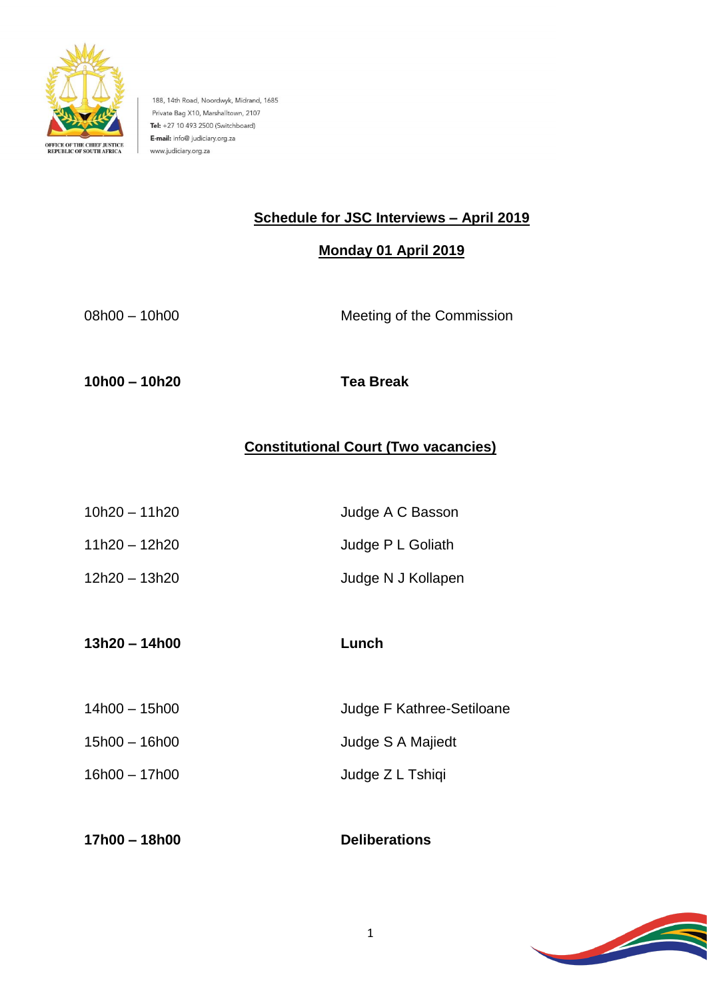

188, 14th Road, Noordwyk, Midrand, 1685 Private Bag X10, Marshalltown, 2107 Tel: +27 10 493 2500 (Switchboard) E-mail: info@ judiciary.org.za www.judiciary.org.za

# **Schedule for JSC Interviews – April 2019**

## **Monday 01 April 2019**

| $08h00 - 10h00$ | Meeting of the Commission |
|-----------------|---------------------------|
|                 |                           |
|                 |                           |

**10h00 – 10h20 Tea Break**

# **Constitutional Court (Two vacancies)**

- 10h20 11h20 Judge A C Basson 11h20 – 12h20 Judge P L Goliath
- 12h20 13h20 Judge N J Kollapen
- **13h20 – 14h00 Lunch**

14h00 – 15h00 Judge F Kathree-Setiloane 15h00 – 16h00 **Judge S A Majiedt** 16h00 – 17h00 Judge Z L Tshiqi

**17h00 – 18h00 Deliberations**

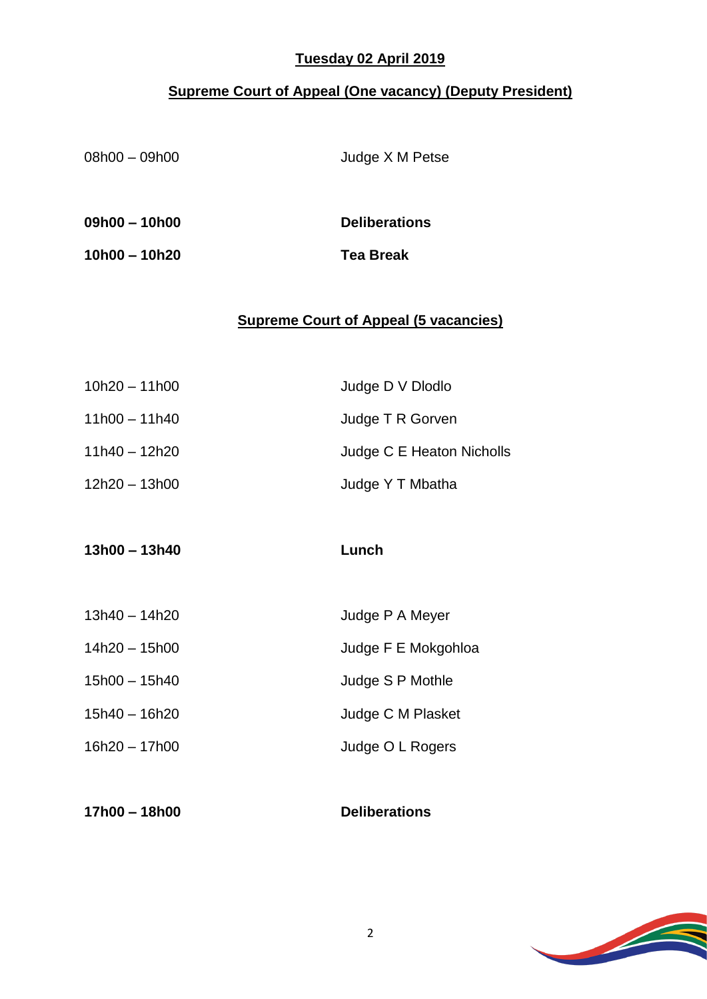### **Tuesday 02 April 2019**

# **Supreme Court of Appeal (One vacancy) (Deputy President)**

| $08h00 - 09h00$ | Judge X M Petse                              |
|-----------------|----------------------------------------------|
| $09h00 - 10h00$ | <b>Deliberations</b>                         |
| $10h00 - 10h20$ | <b>Tea Break</b>                             |
|                 | <b>Supreme Court of Appeal (5 vacancies)</b> |
| $10h20 - 11h00$ | Judge D V Dlodlo                             |
| $11h00 - 11h40$ | Judge T R Gorven                             |
| $11h40 - 12h20$ | Judge C E Heaton Nicholls                    |
| 12h20 - 13h00   | Judge Y T Mbatha                             |
| $13h00 - 13h40$ | Lunch                                        |
| $12610 + 1620$  | $L_{L}$ daa D.A.Mouar                        |

| $13h40 - 14h20$ | Judge P A Meyer     |
|-----------------|---------------------|
| $14h20 - 15h00$ | Judge F E Mokgohloa |
| $15h00 - 15h40$ | Judge S P Mothle    |
| 15h40 – 16h20   | Judge C M Plasket   |
| $16h20 - 17h00$ | Judge O L Rogers    |
|                 |                     |

| 17h00 - 18h00 | <b>Deliberations</b> |
|---------------|----------------------|
|---------------|----------------------|

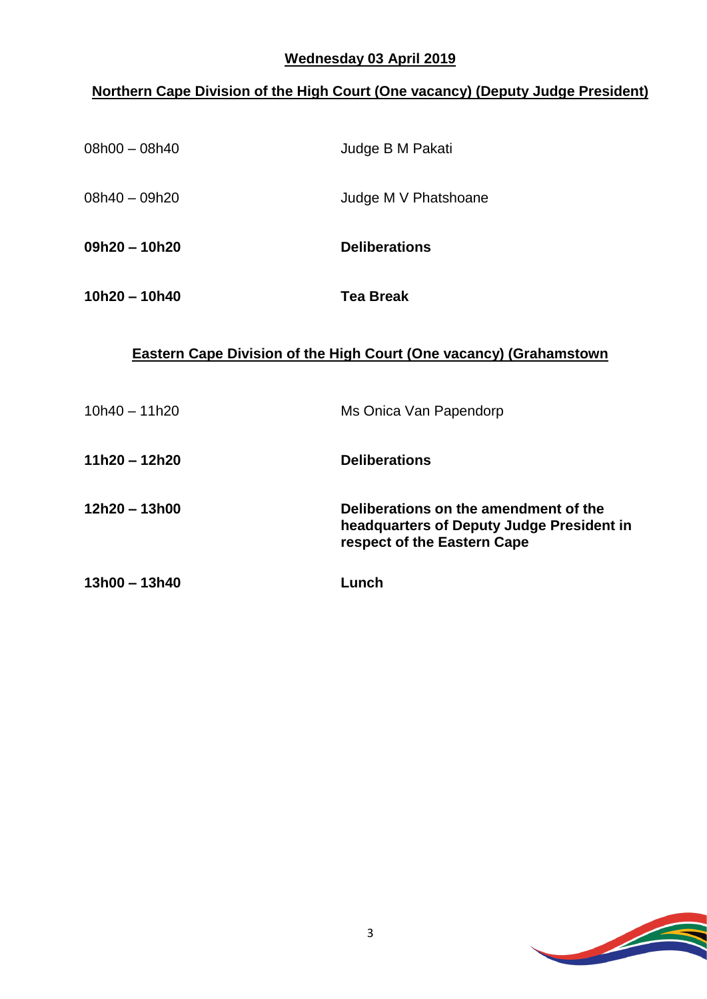#### **Wednesday 03 April 2019**

## **Northern Cape Division of the High Court (One vacancy) (Deputy Judge President)**

| $08h00 - 08h40$ | Judge B M Pakati     |
|-----------------|----------------------|
| 08h40 - 09h20   | Judge M V Phatshoane |
| $09h20 - 10h20$ | <b>Deliberations</b> |
| $10h20 - 10h40$ | <b>Tea Break</b>     |

#### **Eastern Cape Division of the High Court (One vacancy) (Grahamstown**

| $10h40 - 11h20$ | Ms Onica Van Papendorp                                                                                            |
|-----------------|-------------------------------------------------------------------------------------------------------------------|
| 11h20 – 12h20   | <b>Deliberations</b>                                                                                              |
| 12h20 - 13h00   | Deliberations on the amendment of the<br>headquarters of Deputy Judge President in<br>respect of the Eastern Cape |
| 13h00 - 13h40   | Lunch                                                                                                             |